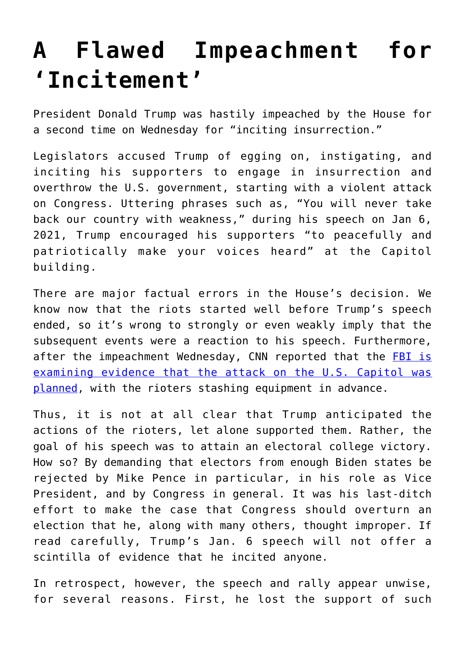## **[A Flawed Impeachment for](https://intellectualtakeout.org/2021/01/a-flawed-impeachment-for-incitement/) ['Incitement'](https://intellectualtakeout.org/2021/01/a-flawed-impeachment-for-incitement/)**

President Donald Trump was hastily impeached by the House for a second time on Wednesday for "inciting insurrection."

Legislators accused Trump of egging on, instigating, and inciting his supporters to engage in insurrection and overthrow the U.S. government, starting with a violent attack on Congress. Uttering phrases such as, "You will never take back our country with weakness," during his speech on Jan 6, 2021, Trump encouraged his supporters "to peacefully and patriotically make your voices heard" at the Capitol building.

There are major factual errors in the House's decision. We know now that the riots started well before Trump's speech ended, so it's wrong to strongly or even weakly imply that the subsequent events were a reaction to his speech. Furthermore, after the impeachment Wednesday, CNN reported that the [FBI is](https://www.cnn.com/2021/01/13/politics/capitol-riot-investigation/index.html) [examining evidence that the attack on the U.S. Capitol was](https://www.cnn.com/2021/01/13/politics/capitol-riot-investigation/index.html) [planned](https://www.cnn.com/2021/01/13/politics/capitol-riot-investigation/index.html), with the rioters stashing equipment in advance.

Thus, it is not at all clear that Trump anticipated the actions of the rioters, let alone supported them. Rather, the goal of his speech was to attain an electoral college victory. How so? By demanding that electors from enough Biden states be rejected by Mike Pence in particular, in his role as Vice President, and by Congress in general. It was his last-ditch effort to make the case that Congress should overturn an election that he, along with many others, thought improper. If read carefully, Trump's Jan. 6 speech will not offer a scintilla of evidence that he incited anyone.

In retrospect, however, the speech and rally appear unwise, for several reasons. First, he lost the support of such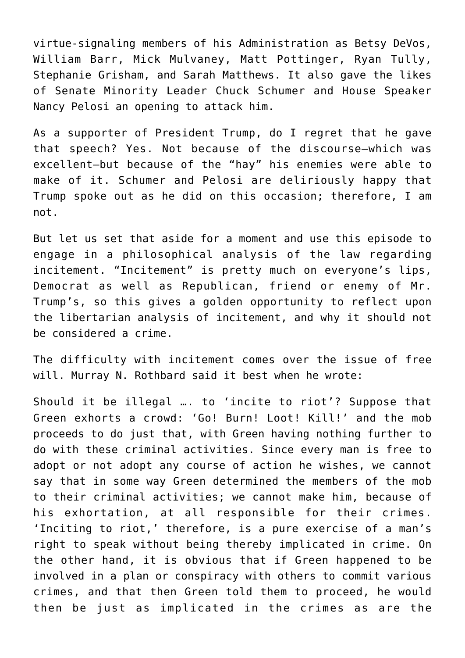virtue-signaling members of his Administration as Betsy DeVos, William Barr, Mick Mulvaney, Matt Pottinger, Ryan Tully, Stephanie Grisham, and Sarah Matthews. It also gave the likes of Senate Minority Leader Chuck Schumer and House Speaker Nancy Pelosi an opening to attack him.

As a supporter of President Trump, do I regret that he gave that speech? Yes. Not because of the discourse—which was excellent—but because of the "hay" his enemies were able to make of it. Schumer and Pelosi are deliriously happy that Trump spoke out as he did on this occasion; therefore, I am not.

But let us set that aside for a moment and use this episode to engage in a philosophical analysis of the law regarding incitement. "Incitement" is pretty much on everyone's lips, Democrat as well as Republican, friend or enemy of Mr. Trump's, so this gives a golden opportunity to reflect upon the libertarian analysis of incitement, and why it should not be considered a crime.

The difficulty with incitement comes over the issue of free will. Murray N. Rothbard said it best when he wrote:

Should it be illegal …. to 'incite to riot'? Suppose that Green exhorts a crowd: 'Go! Burn! Loot! Kill!' and the mob proceeds to do just that, with Green having nothing further to do with these criminal activities. Since every man is free to adopt or not adopt any course of action he wishes, we cannot say that in some way Green determined the members of the mob to their criminal activities; we cannot make him, because of his exhortation, at all responsible for their crimes. 'Inciting to riot,' therefore, is a pure exercise of a man's right to speak without being thereby implicated in crime. On the other hand, it is obvious that if Green happened to be involved in a plan or conspiracy with others to commit various crimes, and that then Green told them to proceed, he would then be just as implicated in the crimes as are the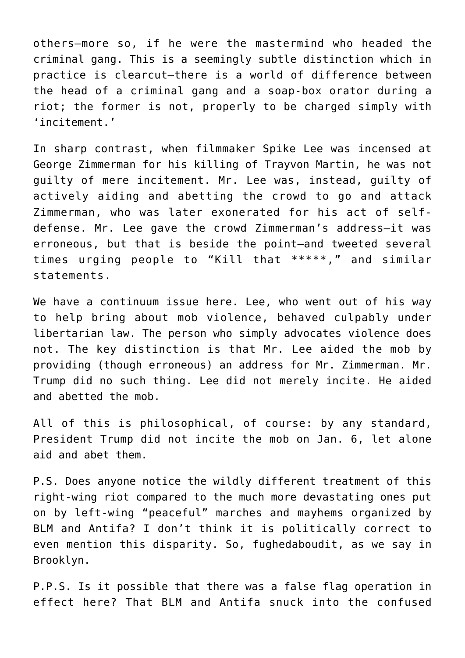others—more so, if he were the mastermind who headed the criminal gang. This is a seemingly subtle distinction which in practice is clearcut—there is a world of difference between the head of a criminal gang and a soap-box orator during a riot; the former is not, properly to be charged simply with 'incitement.'

In sharp contrast, when filmmaker Spike Lee was incensed at George Zimmerman for his killing of Trayvon Martin, he was not guilty of mere incitement. Mr. Lee was, instead, guilty of actively aiding and abetting the crowd to go and attack Zimmerman, who was later exonerated for his act of selfdefense. Mr. Lee gave the crowd Zimmerman's address—it was erroneous, but that is beside the point—and tweeted several times urging people to "Kill that \*\*\*\*\*," and similar statements.

We have a continuum issue here. Lee, who went out of his way to help bring about mob violence, behaved culpably under libertarian law. The person who simply advocates violence does not. The key distinction is that Mr. Lee aided the mob by providing (though erroneous) an address for Mr. Zimmerman. Mr. Trump did no such thing. Lee did not merely incite. He aided and abetted the mob.

All of this is philosophical, of course: by any standard, President Trump did not incite the mob on Jan. 6, let alone aid and abet them.

P.S. Does anyone notice the wildly different treatment of this right-wing riot compared to the much more devastating ones put on by left-wing "peaceful" marches and mayhems organized by BLM and Antifa? I don't think it is politically correct to even mention this disparity. So, fughedaboudit, as we say in Brooklyn.

P.P.S. Is it possible that there was a false flag operation in effect here? That BLM and Antifa snuck into the confused